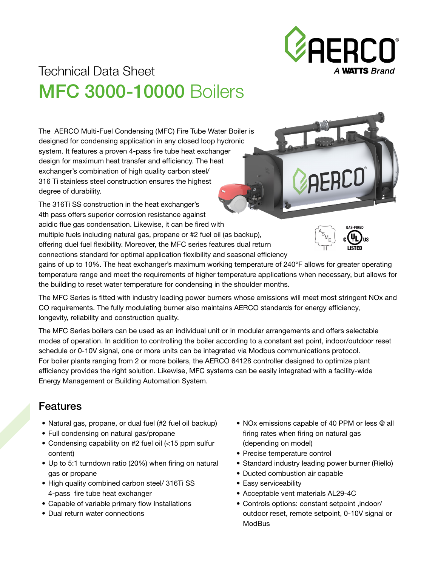

# Technical Data Sheet MFC 3000-10000 Boilers

The AERCO Multi-Fuel Condensing (MFC) Fire Tube Water Boiler is designed for condensing application in any closed loop hydronic system. It features a proven 4-pass fire tube heat exchanger design for maximum heat transfer and efficiency. The heat exchanger's combination of high quality carbon steel/ 316 Ti stainless steel construction ensures the highest degree of durability.

The 316Ti SS construction in the heat exchanger's 4th pass offers superior corrosion resistance against acidic flue gas condensation. Likewise, it can be fired with multiple fuels including natural gas, propane or #2 fuel oil (as backup), offering duel fuel flexibility. Moreover, the MFC series features dual return connections standard for optimal application flexibility and seasonal efficiency



gains of up to 10%. The heat exchanger's maximum working temperature of 240°F allows for greater operating temperature range and meet the requirements of higher temperature applications when necessary, but allows for the building to reset water temperature for condensing in the shoulder months.

The MFC Series is fitted with industry leading power burners whose emissions will meet most stringent NOx and CO requirements. The fully modulating burner also maintains AERCO standards for energy efficiency, longevity, reliability and construction quality.

The MFC Series boilers can be used as an individual unit or in modular arrangements and offers selectable modes of operation. In addition to controlling the boiler according to a constant set point, indoor/outdoor reset schedule or 0-10V signal, one or more units can be integrated via Modbus communications protocol. For boiler plants ranging from 2 or more boilers, the AERCO 64128 controller designed to optimize plant efficiency provides the right solution. Likewise, MFC systems can be easily integrated with a facility-wide Energy Management or Building Automation System.

#### **Features**

- Natural gas, propane, or dual fuel (#2 fuel oil backup)
- Full condensing on natural gas/propane
- Condensing capability on #2 fuel oil (<15 ppm sulfur content)
- Up to 5:1 turndown ratio (20%) when firing on natural gas or propane
- High quality combined carbon steel/ 316Ti SS 4-pass fire tube heat exchanger
- Capable of variable primary flow Installations
- Dual return water connections
- NOx emissions capable of 40 PPM or less @ all firing rates when firing on natural gas (depending on model)
- Precise temperature control
- Standard industry leading power burner (Riello)
- Ducted combustion air capable
- Easy serviceability
- Acceptable vent materials AL29-4C
- Controls options: constant setpoint ,indoor/ outdoor reset, remote setpoint, 0-10V signal or **ModBus**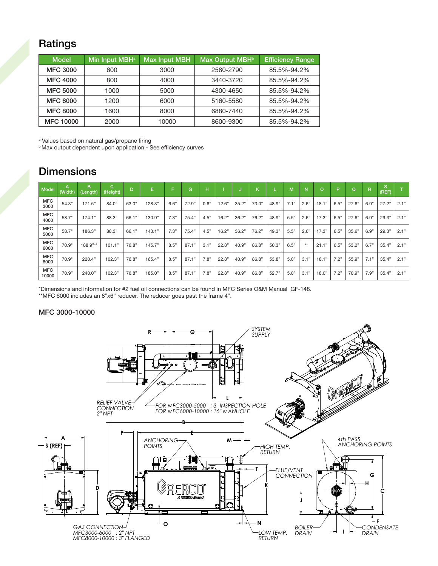#### Ratings

| <b>Model</b>     | Min Input MBH <sup>a</sup> | <b>Max Input MBH</b> | Max Output MBH <sup>b</sup> | <b>Efficiency Range</b> |
|------------------|----------------------------|----------------------|-----------------------------|-------------------------|
| <b>MFC 3000</b>  | 600                        | 3000                 | 2580-2790                   | 85.5%-94.2%             |
| <b>MFC 4000</b>  | 800                        | 4000                 | 3440-3720                   | 85.5%-94.2%             |
| <b>MFC 5000</b>  | 1000                       | 5000                 | 4300-4650                   | 85.5%-94.2%             |
| <b>MFC 6000</b>  | 1200                       | 6000                 | 5160-5580                   | 85.5%-94.2%             |
| <b>MFC 8000</b>  | 1600                       | 8000                 | 6880-7440                   | 85.5%-94.2%             |
| <b>MFC 10000</b> | 2000                       | 10000                | 8600-9300                   | 85.5%-94.2%             |

a Values based on natural gas/propane firing

**b Max output dependent upon application - See efficiency curves** 

### **Dimensions**

| Model               | A<br>(Width) | B<br>(Length) | C.<br>(Height) | D     | E.     | F    | G     | н    |       |       | ĸ     |       | M    | N    | $\Omega$         | Þ    | $\Omega$ | R    | ls.<br>(REF) |      |
|---------------------|--------------|---------------|----------------|-------|--------|------|-------|------|-------|-------|-------|-------|------|------|------------------|------|----------|------|--------------|------|
| <b>MFC</b><br>3000  | 54.3"        | 171.5"        | 84.0"          | 63.0" | 128.3" | 6.6" | 72.9" | 0.6" | 12.6" | 35.2" | 73.0" | 48.9" | 7.1" | 2.6" | 18.1"            | 6.5" | 27.6"    | 6.9" | 27.2"        | 2.1" |
| <b>MFC</b><br>4000  | 58.7"        | 174.1"        | 88.3"          | 66.1" | 130.9" | 7.3" | 75.4" | 4.5" | 16.2" | 36.2" | 76.2" | 48.9" | 5.5" | 2.6" | 17.3"            | 6.5" | 27.6"    | 6.9" | 29.3"        | 2.1" |
| <b>MFC</b><br>5000  | 58.7"        | 186.3"        | 88.3"          | 66.1" | 143.1" | 7.3" | 75.4" | 4.5" | 16.2" | 36.2" | 76.2" | 49.3" | 5.5" | 2.6" | 17.3"            | 6.5" | 35.6"    | 6.9" | 29.3"        | 2.1" |
| <b>MFC</b><br>6000  | 70.9"        | 188.9"**      | 101.1"         | 76.8" | 145.7" | 8.5" | 87.1" | 3.1" | 22.8" | 40.9" | 86.8" | 50.3" | 6.5" | $**$ | $-4, 33$<br>21.7 | 6.5" | 53.2"    | 6.7" | 35.4"        | 2.1" |
| <b>MFC</b><br>8000  | 70.9"        | 220.4"        | 102.3"         | 76.8" | 165.4" | 8.5" | 87.1" | 7.8" | 22.8" | 40.9" | 86.8" | 53.8" | 5.0" | 3.1" | 18.1"            | 7.2" | 55.9"    | 7.1" | 35.4"        | 2.1" |
| <b>MFC</b><br>10000 | 70.9"        | 240.0"        | 102.3"         | 76.8" | 185.0" | 8.5" | 87.1" | 7.8" | 22.8" | 40.9" | 86.8" | 52.7" | 5.0" | 3.1" | 18.0"            | 7.2" | 70.9"    | 7.9" | 35.4"        | 2.1" |

\*Dimensions and information for #2 fuel oil connections can be found in MFC Series O&M Manual GF-148.

\*\*MFC 6000 includes an 8"x6" reducer. The reducer goes past the frame 4".

#### MFC 3000-10000